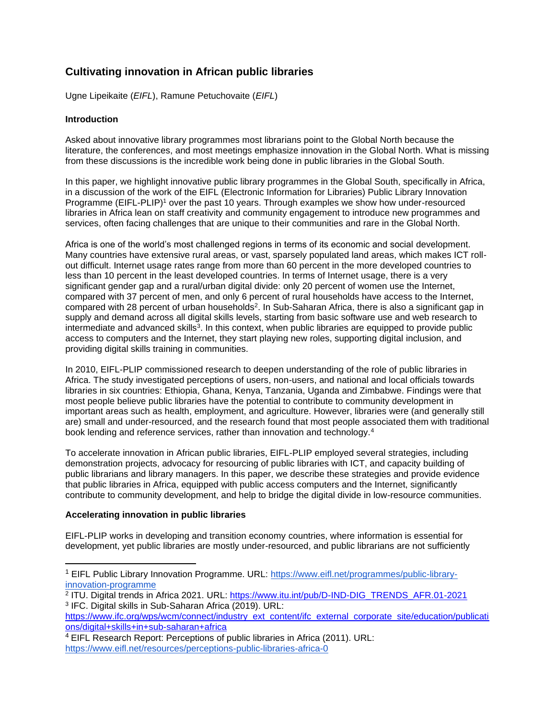# **Cultivating innovation in African public libraries**

Ugne Lipeikaite (*EIFL*), Ramune Petuchovaite (*EIFL*)

## **Introduction**

Asked about innovative library programmes most librarians point to the Global North because the literature, the conferences, and most meetings emphasize innovation in the Global North. What is missing from these discussions is the incredible work being done in public libraries in the Global South.

In this paper, we highlight innovative public library programmes in the Global South, specifically in Africa, in a discussion of the work of the EIFL (Electronic Information for Libraries) Public Library Innovation Programme (EIFL-PLIP)<sup>1</sup> over the past 10 years. Through examples we show how under-resourced libraries in Africa lean on staff creativity and community engagement to introduce new programmes and services, often facing challenges that are unique to their communities and rare in the Global North.

Africa is one of the world's most challenged regions in terms of its economic and social development. Many countries have extensive rural areas, or vast, sparsely populated land areas, which makes ICT rollout difficult. Internet usage rates range from more than 60 percent in the more developed countries to less than 10 percent in the least developed countries. In terms of Internet usage, there is a very significant gender gap and a rural/urban digital divide: only 20 percent of women use the Internet, compared with 37 percent of men, and only 6 percent of rural households have access to the Internet, compared with 28 percent of urban households<sup>2</sup>. In Sub-Saharan Africa, there is also a significant gap in supply and demand across all digital skills levels, starting from basic software use and web research to intermediate and advanced skills<sup>3</sup>. In this context, when public libraries are equipped to provide public access to computers and the Internet, they start playing new roles, supporting digital inclusion, and providing digital skills training in communities.

In 2010, EIFL-PLIP commissioned research to deepen understanding of the role of public libraries in Africa. The study investigated perceptions of users, non-users, and national and local officials towards libraries in six countries: Ethiopia, Ghana, Kenya, Tanzania, Uganda and Zimbabwe. Findings were that most people believe public libraries have the potential to contribute to community development in important areas such as health, employment, and agriculture. However, libraries were (and generally still are) small and under-resourced, and the research found that most people associated them with traditional book lending and reference services, rather than innovation and technology.<sup>4</sup>

To accelerate innovation in African public libraries, EIFL-PLIP employed several strategies, including demonstration projects, advocacy for resourcing of public libraries with ICT, and capacity building of public librarians and library managers. In this paper, we describe these strategies and provide evidence that public libraries in Africa, equipped with public access computers and the Internet, significantly contribute to community development, and help to bridge the digital divide in low-resource communities.

#### **Accelerating innovation in public libraries**

EIFL-PLIP works in developing and transition economy countries, where information is essential for development, yet public libraries are mostly under-resourced, and public librarians are not sufficiently

<sup>1</sup> EIFL Public Library Innovation Programme. URL: [https://www.eifl.net/programmes/public-library](https://www.eifl.net/programmes/public-library-innovation-programme)[innovation-programme](https://www.eifl.net/programmes/public-library-innovation-programme)

<sup>2</sup> ITU. Digital trends in Africa 2021. URL: [https://www.itu.int/pub/D-IND-DIG\\_TRENDS\\_AFR.01-2021](https://www.itu.int/pub/D-IND-DIG_TRENDS_AFR.01-2021) 3 IFC. Digital skills in Sub-Saharan Africa (2019). URL:

[https://www.ifc.org/wps/wcm/connect/industry\\_ext\\_content/ifc\\_external\\_corporate\\_site/education/publicati](https://www.ifc.org/wps/wcm/connect/industry_ext_content/ifc_external_corporate_site/education/publications/digital+skills+in+sub-saharan+africa)on [ons/digital+skills+in+sub-saharan+africa](https://www.ifc.org/wps/wcm/connect/industry_ext_content/ifc_external_corporate_site/education/publications/digital+skills+in+sub-saharan+africa)

<sup>&</sup>lt;sup>4</sup> EIFL Research Report: Perceptions of public libraries in Africa (2011). URL: <https://www.eifl.net/resources/perceptions-public-libraries-africa-0>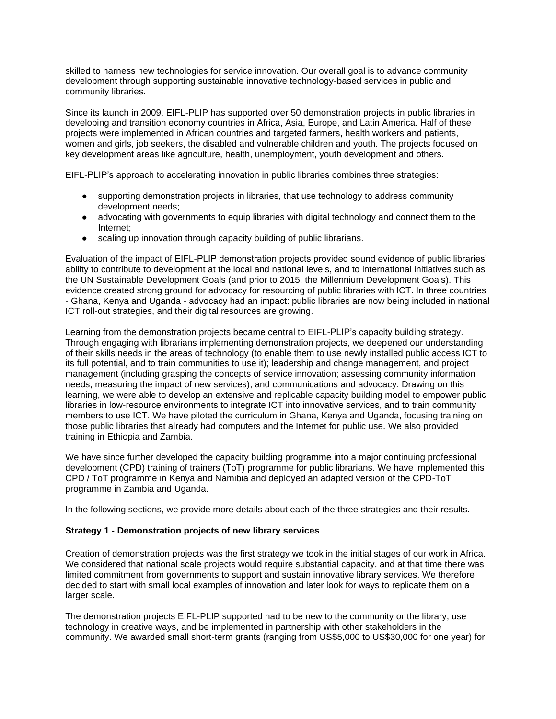skilled to harness new technologies for service innovation. Our overall goal is to advance community development through supporting sustainable innovative technology-based services in public and community libraries.

Since its launch in 2009, EIFL-PLIP has supported over 50 demonstration projects in public libraries in developing and transition economy countries in Africa, Asia, Europe, and Latin America. Half of these projects were implemented in African countries and targeted farmers, health workers and patients, women and girls, job seekers, the disabled and vulnerable children and youth. The projects focused on key development areas like agriculture, health, unemployment, youth development and others.

EIFL-PLIP's approach to accelerating innovation in public libraries combines three strategies:

- supporting demonstration projects in libraries, that use technology to address community development needs;
- advocating with governments to equip libraries with digital technology and connect them to the Internet;
- scaling up innovation through capacity building of public librarians.

Evaluation of the impact of EIFL-PLIP demonstration projects provided sound evidence of public libraries' ability to contribute to development at the local and national levels, and to international initiatives such as the UN Sustainable Development Goals (and prior to 2015, the Millennium Development Goals). This evidence created strong ground for advocacy for resourcing of public libraries with ICT. In three countries - Ghana, Kenya and Uganda - advocacy had an impact: public libraries are now being included in national ICT roll-out strategies, and their digital resources are growing.

Learning from the demonstration projects became central to EIFL-PLIP's capacity building strategy. Through engaging with librarians implementing demonstration projects, we deepened our understanding of their skills needs in the areas of technology (to enable them to use newly installed public access ICT to its full potential, and to train communities to use it); leadership and change management, and project management (including grasping the concepts of service innovation; assessing community information needs; measuring the impact of new services), and communications and advocacy. Drawing on this learning, we were able to develop an extensive and replicable capacity building model to empower public libraries in low-resource environments to integrate ICT into innovative services, and to train community members to use ICT. We have piloted the curriculum in Ghana, Kenya and Uganda, focusing training on those public libraries that already had computers and the Internet for public use. We also provided training in Ethiopia and Zambia.

We have since further developed the capacity building programme into a major continuing professional development (CPD) training of trainers (ToT) programme for public librarians. We have implemented this CPD / ToT programme in Kenya and Namibia and deployed an adapted version of the CPD-ToT programme in Zambia and Uganda.

In the following sections, we provide more details about each of the three strategies and their results.

#### **Strategy 1 - Demonstration projects of new library services**

Creation of demonstration projects was the first strategy we took in the initial stages of our work in Africa. We considered that national scale projects would require substantial capacity, and at that time there was limited commitment from governments to support and sustain innovative library services. We therefore decided to start with small local examples of innovation and later look for ways to replicate them on a larger scale.

The demonstration projects EIFL-PLIP supported had to be new to the community or the library, use technology in creative ways, and be implemented in partnership with other stakeholders in the community. We awarded small short-term grants (ranging from US\$5,000 to US\$30,000 for one year) for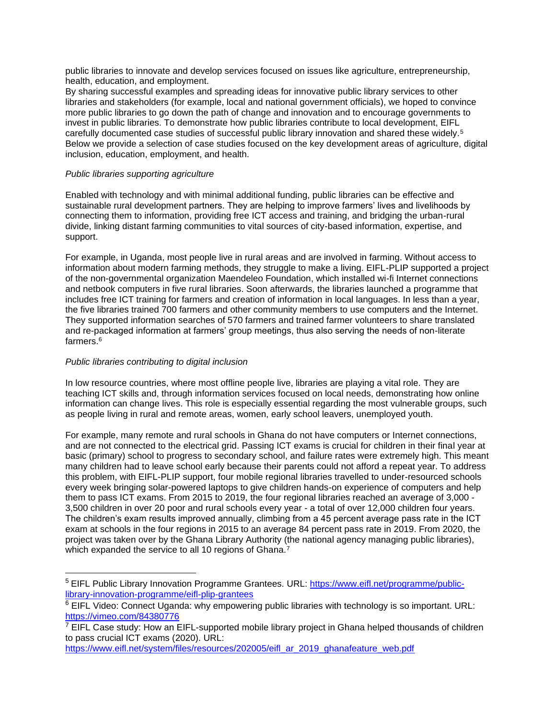public libraries to innovate and develop services focused on issues like agriculture, entrepreneurship, health, education, and employment.

By sharing successful examples and spreading ideas for innovative public library services to other libraries and stakeholders (for example, local and national government officials), we hoped to convince more public libraries to go down the path of change and innovation and to encourage governments to invest in public libraries. To demonstrate how public libraries contribute to local development, EIFL carefully documented case studies of successful public library innovation and shared these widely.<sup>5</sup> Below we provide a selection of case studies focused on the key development areas of agriculture, digital inclusion, education, employment, and health.

#### *Public libraries supporting agriculture*

Enabled with technology and with minimal additional funding, public libraries can be effective and sustainable rural development partners. They are helping to improve farmers' lives and livelihoods by connecting them to information, providing free ICT access and training, and bridging the urban-rural divide, linking distant farming communities to vital sources of city-based information, expertise, and support.

For example, in Uganda, most people live in rural areas and are involved in farming. Without access to information about modern farming methods, they struggle to make a living. EIFL-PLIP supported a project of the non-governmental organization Maendeleo Foundation, which installed wi-fi Internet connections and netbook computers in five rural libraries. Soon afterwards, the libraries launched a programme that includes free ICT training for farmers and creation of information in local languages. In less than a year, the five libraries trained 700 farmers and other community members to use computers and the Internet. They supported information searches of 570 farmers and trained farmer volunteers to share translated and re-packaged information at farmers' group meetings, thus also serving the needs of non-literate farmers.<sup>6</sup>

## *Public libraries contributing to digital inclusion*

In low resource countries, where most offline people live, libraries are playing a vital role. They are teaching ICT skills and, through information services focused on local needs, demonstrating how online information can change lives. This role is especially essential regarding the most vulnerable groups, such as people living in rural and remote areas, women, early school leavers, unemployed youth.

For example, many remote and rural schools in Ghana do not have computers or Internet connections, and are not connected to the electrical grid. Passing ICT exams is crucial for children in their final year at basic (primary) school to progress to secondary school, and failure rates were extremely high. This meant many children had to leave school early because their parents could not afford a repeat year. To address this problem, with EIFL-PLIP support, four mobile regional libraries travelled to under-resourced schools every week bringing solar-powered laptops to give children hands-on experience of computers and help them to pass ICT exams. From 2015 to 2019, the four regional libraries reached an average of 3,000 - 3,500 children in over 20 poor and rural schools every year - a total of over 12,000 children four years. The children's exam results improved annually, climbing from a 45 percent average pass rate in the ICT exam at schools in the four regions in 2015 to an average 84 percent pass rate in 2019. From 2020, the project was taken over by the Ghana Library Authority (the national agency managing public libraries), which expanded the service to all 10 regions of Ghana.<sup>7</sup>

<sup>&</sup>lt;sup>5</sup> EIFL Public Library Innovation Programme Grantees. URL: [https://www.eifl.net/programme/public](https://www.eifl.net/programme/public-library-innovation-programme/eifl-plip-grantees)[library-innovation-programme/eifl-plip-grantees](https://www.eifl.net/programme/public-library-innovation-programme/eifl-plip-grantees)

 $6$  EIFL Video: Connect Uganda: why empowering public libraries with technology is so important. URL: <https://vimeo.com/84380776>

 $7$  EIFL Case study: How an EIFL-supported mobile library project in Ghana helped thousands of children to pass crucial ICT exams (2020). URL:

[https://www.eifl.net/system/files/resources/202005/eifl\\_ar\\_2019\\_ghanafeature\\_web.pdf](https://www.eifl.net/system/files/resources/202005/eifl_ar_2019_ghanafeature_web.pdf)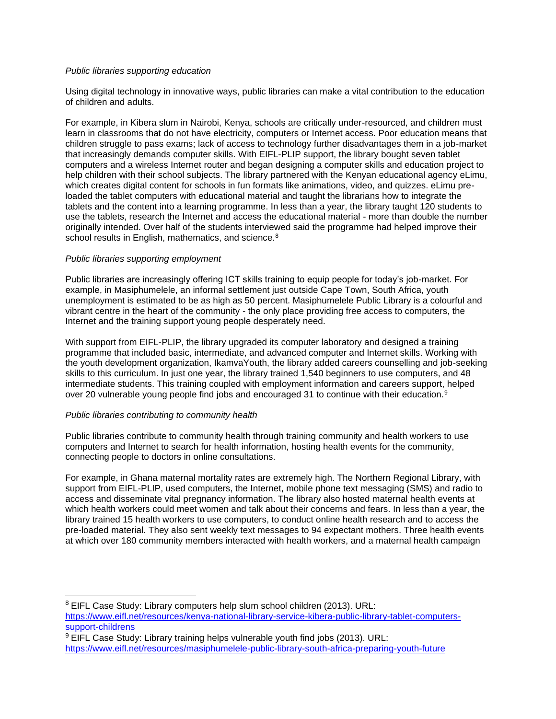#### *Public libraries supporting education*

Using digital technology in innovative ways, public libraries can make a vital contribution to the education of children and adults.

For example, in Kibera slum in Nairobi, Kenya, schools are critically under-resourced, and children must learn in classrooms that do not have electricity, computers or Internet access. Poor education means that children struggle to pass exams; lack of access to technology further disadvantages them in a job-market that increasingly demands computer skills. With EIFL-PLIP support, the library bought seven tablet computers and a wireless Internet router and began designing a computer skills and education project to help children with their school subjects. The library partnered with the Kenyan educational agency eLimu, which creates digital content for schools in fun formats like animations, video, and quizzes. eLimu preloaded the tablet computers with educational material and taught the librarians how to integrate the tablets and the content into a learning programme. In less than a year, the library taught 120 students to use the tablets, research the Internet and access the educational material - more than double the number originally intended. Over half of the students interviewed said the programme had helped improve their school results in English, mathematics, and science.<sup>8</sup>

## *Public libraries supporting employment*

Public libraries are increasingly offering ICT skills training to equip people for today's job-market. For example, in Masiphumelele, an informal settlement just outside Cape Town, South Africa, youth unemployment is estimated to be as high as 50 percent. Masiphumelele Public Library is a colourful and vibrant centre in the heart of the community - the only place providing free access to computers, the Internet and the training support young people desperately need.

With support from EIFL-PLIP, the library upgraded its computer laboratory and designed a training programme that included basic, intermediate, and advanced computer and Internet skills. Working with the youth development organization, IkamvaYouth, the library added careers counselling and job-seeking skills to this curriculum. In just one year, the library trained 1,540 beginners to use computers, and 48 intermediate students. This training coupled with employment information and careers support, helped over 20 vulnerable young people find jobs and encouraged 31 to continue with their education.<sup>9</sup>

## *Public libraries contributing to community health*

Public libraries contribute to community health through training community and health workers to use computers and Internet to search for health information, hosting health events for the community, connecting people to doctors in online consultations.

For example, in Ghana maternal mortality rates are extremely high. The Northern Regional Library, with support from EIFL-PLIP, used computers, the Internet, mobile phone text messaging (SMS) and radio to access and disseminate vital pregnancy information. The library also hosted maternal health events at which health workers could meet women and talk about their concerns and fears. In less than a year, the library trained 15 health workers to use computers, to conduct online health research and to access the pre-loaded material. They also sent weekly text messages to 94 expectant mothers. Three health events at which over 180 community members interacted with health workers, and a maternal health campaign

 $9$  EIFL Case Study: Library training helps vulnerable youth find jobs (2013). URL: <https://www.eifl.net/resources/masiphumelele-public-library-south-africa-preparing-youth-future>

<sup>8</sup> EIFL Case Study: Library computers help slum school children (2013). URL: [https://www.eifl.net/resources/kenya-national-library-service-kibera-public-library-tablet-computers](https://www.eifl.net/resources/kenya-national-library-service-kibera-public-library-tablet-computers-support-childrens)[support-childrens](https://www.eifl.net/resources/kenya-national-library-service-kibera-public-library-tablet-computers-support-childrens)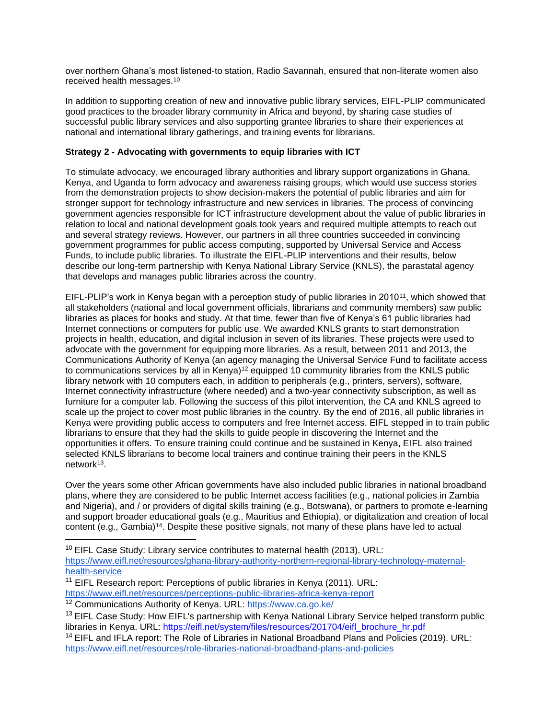over northern Ghana's most listened-to station, Radio Savannah, ensured that non-literate women also received health messages.<sup>10</sup>

In addition to supporting creation of new and innovative public library services, EIFL-PLIP communicated good practices to the broader library community in Africa and beyond, by sharing case studies of successful public library services and also supporting grantee libraries to share their experiences at national and international library gatherings, and training events for librarians.

## **Strategy 2 - Advocating with governments to equip libraries with ICT**

To stimulate advocacy, we encouraged library authorities and library support organizations in Ghana, Kenya, and Uganda to form advocacy and awareness raising groups, which would use success stories from the demonstration projects to show decision-makers the potential of public libraries and aim for stronger support for technology infrastructure and new services in libraries. The process of convincing government agencies responsible for ICT infrastructure development about the value of public libraries in relation to local and national development goals took years and required multiple attempts to reach out and several strategy reviews. However, our partners in all three countries succeeded in convincing government programmes for public access computing, supported by Universal Service and Access Funds, to include public libraries. To illustrate the EIFL-PLIP interventions and their results, below describe our long-term partnership with Kenya National Library Service (KNLS), the parastatal agency that develops and manages public libraries across the country.

EIFL-PLIP's work in Kenya began with a perception study of public libraries in 2010<sup>11</sup>, which showed that all stakeholders (national and local government officials, librarians and community members) saw public libraries as places for books and study. At that time, fewer than five of Kenya's 61 public libraries had Internet connections or computers for public use. We awarded KNLS grants to start demonstration projects in health, education, and digital inclusion in seven of its libraries. These projects were used to advocate with the government for equipping more libraries. As a result, between 2011 and 2013, the Communications Authority of Kenya (an agency managing the Universal Service Fund to facilitate access to communications services by all in Kenya)<sup>12</sup> equipped 10 community libraries from the KNLS public library network with 10 computers each, in addition to peripherals (e.g., printers, servers), software, Internet connectivity infrastructure (where needed) and a two-year connectivity subscription, as well as furniture for a computer lab. Following the success of this pilot intervention, the CA and KNLS agreed to scale up the project to cover most public libraries in the country. By the end of 2016, all public libraries in Kenya were providing public access to computers and free Internet access. EIFL stepped in to train public librarians to ensure that they had the skills to guide people in discovering the Internet and the opportunities it offers. To ensure training could continue and be sustained in Kenya, EIFL also trained selected KNLS librarians to become local trainers and continue training their peers in the KNLS network<sup>13</sup>.

Over the years some other African governments have also included public libraries in national broadband plans, where they are considered to be public Internet access facilities (e.g., national policies in Zambia and Nigeria), and / or providers of digital skills training (e.g., Botswana), or partners to promote e-learning and support broader educational goals (e.g., Mauritius and Ethiopia), or digitalization and creation of local content (e.g., Gambia)<sup>14</sup>. Despite these positive signals, not many of these plans have led to actual

- $11$  EIFL Research report: Perceptions of public libraries in Kenya (2011). URL: <https://www.eifl.net/resources/perceptions-public-libraries-africa-kenya-report>
- <sup>12</sup> Communications Authority of Kenya. URL:<https://www.ca.go.ke/>

 $10$  EIFL Case Study: Library service contributes to maternal health (2013). URL: [https://www.eifl.net/resources/ghana-library-authority-northern-regional-library-technology-maternal](https://www.eifl.net/resources/ghana-library-authority-northern-regional-library-technology-maternal-health-service)[health-service](https://www.eifl.net/resources/ghana-library-authority-northern-regional-library-technology-maternal-health-service)

<sup>&</sup>lt;sup>13</sup> EIFL Case Study: How EIFL's partnership with Kenya National Library Service helped transform public libraries in Kenya. URL: [https://eifl.net/system/files/resources/201704/eifl\\_brochure\\_hr.pdf](https://eifl.net/system/files/resources/201704/eifl_brochure_hr.pdf)

<sup>&</sup>lt;sup>14</sup> EIFL and IFLA report: The Role of Libraries in National Broadband Plans and Policies (2019). URL: <https://www.eifl.net/resources/role-libraries-national-broadband-plans-and-policies>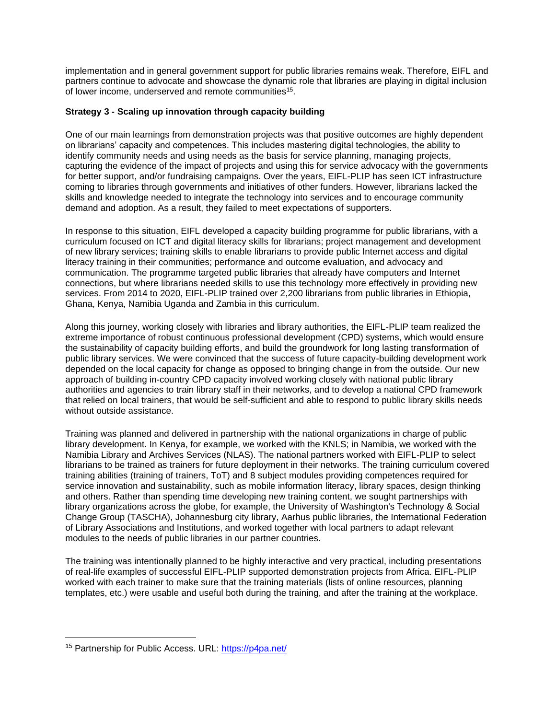implementation and in general government support for public libraries remains weak. Therefore, EIFL and partners continue to advocate and showcase the dynamic role that libraries are playing in digital inclusion of lower income, underserved and remote communities<sup>15</sup>.

## **Strategy 3 - Scaling up innovation through capacity building**

One of our main learnings from demonstration projects was that positive outcomes are highly dependent on librarians' capacity and competences. This includes mastering digital technologies, the ability to identify community needs and using needs as the basis for service planning, managing projects, capturing the evidence of the impact of projects and using this for service advocacy with the governments for better support, and/or fundraising campaigns. Over the years, EIFL-PLIP has seen ICT infrastructure coming to libraries through governments and initiatives of other funders. However, librarians lacked the skills and knowledge needed to integrate the technology into services and to encourage community demand and adoption. As a result, they failed to meet expectations of supporters.

In response to this situation, EIFL developed a capacity building programme for public librarians, with a curriculum focused on ICT and digital literacy skills for librarians; project management and development of new library services; training skills to enable librarians to provide public Internet access and digital literacy training in their communities; performance and outcome evaluation, and advocacy and communication. The programme targeted public libraries that already have computers and Internet connections, but where librarians needed skills to use this technology more effectively in providing new services. From 2014 to 2020, EIFL-PLIP trained over 2,200 librarians from public libraries in Ethiopia, Ghana, Kenya, Namibia Uganda and Zambia in this curriculum.

Along this journey, working closely with libraries and library authorities, the EIFL-PLIP team realized the extreme importance of robust continuous professional development (CPD) systems, which would ensure the sustainability of capacity building efforts, and build the groundwork for long lasting transformation of public library services. We were convinced that the success of future capacity-building development work depended on the local capacity for change as opposed to bringing change in from the outside. Our new approach of building in-country CPD capacity involved working closely with national public library authorities and agencies to train library staff in their networks, and to develop a national CPD framework that relied on local trainers, that would be self-sufficient and able to respond to public library skills needs without outside assistance.

Training was planned and delivered in partnership with the national organizations in charge of public library development. In Kenya, for example, we worked with the KNLS; in Namibia, we worked with the Namibia Library and Archives Services (NLAS). The national partners worked with EIFL-PLIP to select librarians to be trained as trainers for future deployment in their networks. The training curriculum covered training abilities (training of trainers, ToT) and 8 subject modules providing competences required for service innovation and sustainability, such as mobile information literacy, library spaces, design thinking and others. Rather than spending time developing new training content, we sought partnerships with library organizations across the globe, for example, the University of Washington's Technology & Social Change Group (TASCHA), Johannesburg city library, Aarhus public libraries, the International Federation of Library Associations and Institutions, and worked together with local partners to adapt relevant modules to the needs of public libraries in our partner countries.

The training was intentionally planned to be highly interactive and very practical, including presentations of real-life examples of successful EIFL-PLIP supported demonstration projects from Africa. EIFL-PLIP worked with each trainer to make sure that the training materials (lists of online resources, planning templates, etc.) were usable and useful both during the training, and after the training at the workplace.

<sup>&</sup>lt;sup>15</sup> Partnership for Public Access. URL:<https://p4pa.net/>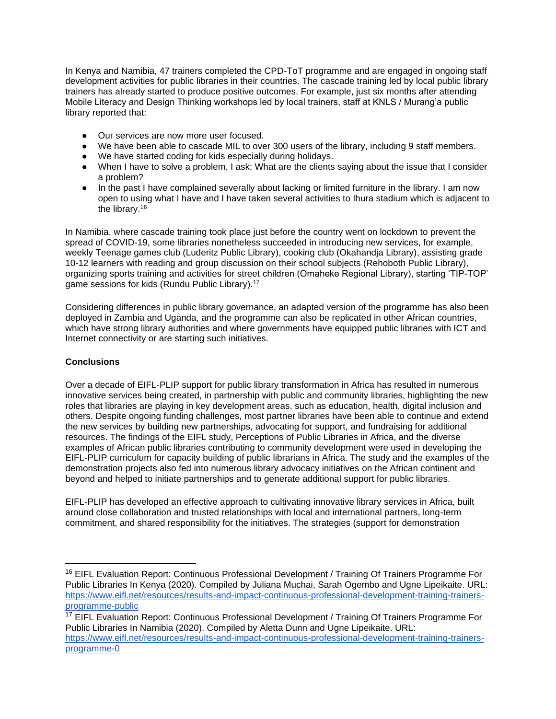In Kenya and Namibia, 47 trainers completed the CPD-ToT programme and are engaged in ongoing staff development activities for public libraries in their countries. The cascade training led by local public library trainers has already started to produce positive outcomes. For example, just six months after attending Mobile Literacy and Design Thinking workshops led by local trainers, staff at KNLS / Murang'a public library reported that:

- Our services are now more user focused.
- We have been able to cascade MIL to over 300 users of the library, including 9 staff members.
- We have started coding for kids especially during holidays.
- When I have to solve a problem, I ask: What are the clients saying about the issue that I consider a problem?
- In the past I have complained severally about lacking or limited furniture in the library. I am now open to using what I have and I have taken several activities to Ihura stadium which is adjacent to the library.<sup>16</sup>

In Namibia, where cascade training took place just before the country went on lockdown to prevent the spread of COVID-19, some libraries nonetheless succeeded in introducing new services, for example, weekly Teenage games club (Luderitz Public Library), cooking club (Okahandja Library), assisting grade 10-12 learners with reading and group discussion on their school subjects (Rehoboth Public Library), organizing sports training and activities for street children (Omaheke Regional Library), starting 'TIP-TOP' game sessions for kids (Rundu Public Library).<sup>17</sup>

Considering differences in public library governance, an adapted version of the programme has also been deployed in Zambia and Uganda, and the programme can also be replicated in other African countries, which have strong library authorities and where governments have equipped public libraries with ICT and Internet connectivity or are starting such initiatives.

# **Conclusions**

Over a decade of EIFL-PLIP support for public library transformation in Africa has resulted in numerous innovative services being created, in partnership with public and community libraries, highlighting the new roles that libraries are playing in key development areas, such as education, health, digital inclusion and others. Despite ongoing funding challenges, most partner libraries have been able to continue and extend the new services by building new partnerships, advocating for support, and fundraising for additional resources. The findings of the EIFL study, Perceptions of Public Libraries in Africa, and the diverse examples of African public libraries contributing to community development were used in developing the EIFL-PLIP curriculum for capacity building of public librarians in Africa. The study and the examples of the demonstration projects also fed into numerous library advocacy initiatives on the African continent and beyond and helped to initiate partnerships and to generate additional support for public libraries.

EIFL-PLIP has developed an effective approach to cultivating innovative library services in Africa, built around close collaboration and trusted relationships with local and international partners, long-term commitment, and shared responsibility for the initiatives. The strategies (support for demonstration

<sup>&</sup>lt;sup>16</sup> EIFL Evaluation Report: Continuous Professional Development / Training Of Trainers Programme For Public Libraries In Kenya (2020). Compiled by Juliana Muchai, Sarah Ogembo and Ugne Lipeikaite. URL: [https://www.eifl.net/resources/results-and-impact-continuous-professional-development-training-trainers](https://www.eifl.net/resources/results-and-impact-continuous-professional-development-training-trainers-programme-public)[programme-public](https://www.eifl.net/resources/results-and-impact-continuous-professional-development-training-trainers-programme-public)

<sup>&</sup>lt;sup>17</sup> EIFL Evaluation Report: Continuous Professional Development / Training Of Trainers Programme For Public Libraries In Namibia (2020). Compiled by Aletta Dunn and Ugne Lipeikaite. URL: [https://www.eifl.net/resources/results-and-impact-continuous-professional-development-training-trainers](https://www.eifl.net/resources/results-and-impact-continuous-professional-development-training-trainers-programme-0)[programme-0](https://www.eifl.net/resources/results-and-impact-continuous-professional-development-training-trainers-programme-0)